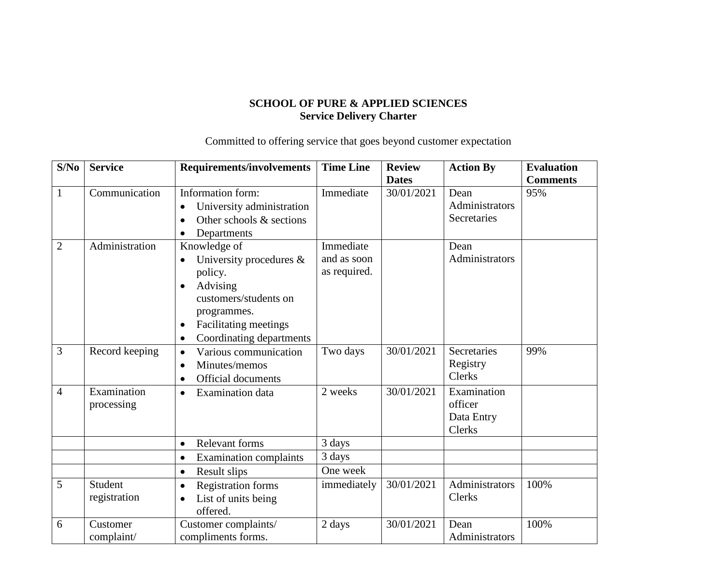## **SCHOOL OF PURE & APPLIED SCIENCES Service Delivery Charter**

Committed to offering service that goes beyond customer expectation

| S/No           | <b>Service</b>            | <b>Requirements/involvements</b>                                                                                                                                                                                   | <b>Time Line</b>                         | <b>Review</b> | <b>Action By</b>                               | <b>Evaluation</b> |
|----------------|---------------------------|--------------------------------------------------------------------------------------------------------------------------------------------------------------------------------------------------------------------|------------------------------------------|---------------|------------------------------------------------|-------------------|
|                |                           |                                                                                                                                                                                                                    |                                          | <b>Dates</b>  |                                                | <b>Comments</b>   |
| $\mathbf{1}$   | Communication             | Information form:<br>University administration<br>Other schools & sections<br>$\bullet$<br>Departments<br>$\bullet$                                                                                                | Immediate                                | 30/01/2021    | Dean<br>Administrators<br>Secretaries          | 95%               |
| $\overline{2}$ | Administration            | Knowledge of<br>University procedures $\&$<br>$\bullet$<br>policy.<br>Advising<br>$\bullet$<br>customers/students on<br>programmes.<br>Facilitating meetings<br>$\bullet$<br>Coordinating departments<br>$\bullet$ | Immediate<br>and as soon<br>as required. |               | Dean<br>Administrators                         |                   |
| 3              | Record keeping            | Various communication<br>$\bullet$<br>Minutes/memos<br>$\bullet$<br><b>Official documents</b><br>$\bullet$                                                                                                         | Two days                                 | 30/01/2021    | Secretaries<br>Registry<br><b>Clerks</b>       | 99%               |
| $\overline{4}$ | Examination<br>processing | <b>Examination</b> data<br>$\bullet$                                                                                                                                                                               | 2 weeks                                  | 30/01/2021    | Examination<br>officer<br>Data Entry<br>Clerks |                   |
|                |                           | <b>Relevant forms</b><br>$\bullet$                                                                                                                                                                                 | 3 days                                   |               |                                                |                   |
|                |                           | <b>Examination complaints</b><br>$\bullet$                                                                                                                                                                         | 3 days                                   |               |                                                |                   |
|                |                           | Result slips<br>$\bullet$                                                                                                                                                                                          | One week                                 |               |                                                |                   |
| 5              | Student<br>registration   | <b>Registration forms</b><br>$\bullet$<br>List of units being<br>$\bullet$<br>offered.                                                                                                                             | immediately                              | 30/01/2021    | Administrators<br>Clerks                       | 100%              |
| 6              | Customer<br>complaint/    | Customer complaints/<br>compliments forms.                                                                                                                                                                         | 2 days                                   | 30/01/2021    | Dean<br>Administrators                         | 100%              |